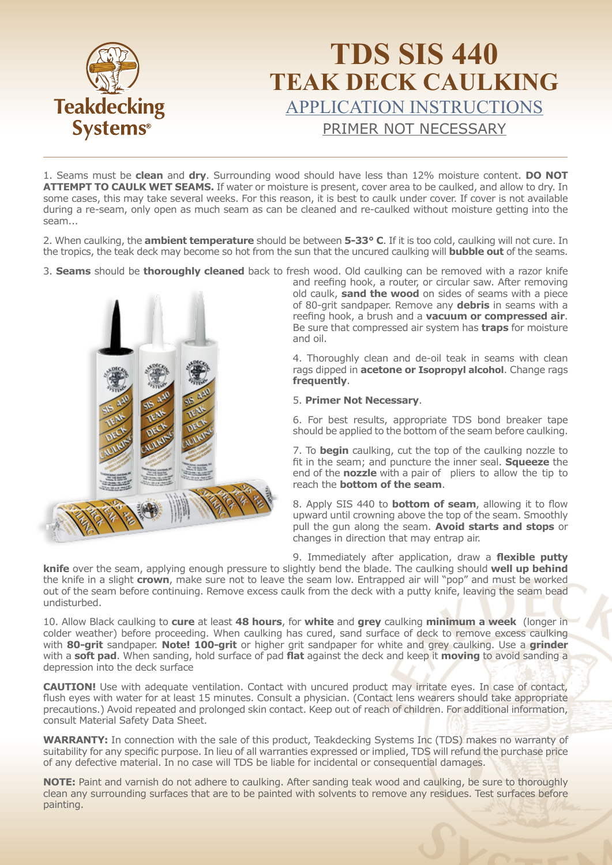

### **TDS SIS 440 TEAK DECK CAULKING**  APPLICATION INSTRUCTIONS PRIMER NOT NECESSARY

1. Seams must be **clean** and **dry**. Surrounding wood should have less than 12% moisture content. **DO NOT ATTEMPT TO CAULK WET SEAMS.** If water or moisture is present, cover area to be caulked, and allow to dry. In some cases, this may take several weeks. For this reason, it is best to caulk under cover. If cover is not available during a re-seam, only open as much seam as can be cleaned and re-caulked without moisture getting into the seam...

2. When caulking, the **ambient temperature** should be between **5-33° C**. If it is too cold, caulking will not cure. In the tropics, the teak deck may become so hot from the sun that the uncured caulking will **bubble out** of the seams.

3. **Seams** should be **thoroughly cleaned** back to fresh wood. Old caulking can be removed with a razor knife



and reefing hook, a router, or circular saw. After removing old caulk, **sand the wood** on sides of seams with a piece of 80-grit sandpaper. Remove any **debris** in seams with a reefing hook, a brush and a **vacuum or compressed air**. Be sure that compressed air system has **traps** for moisture and oil.

4. Thoroughly clean and de-oil teak in seams with clean rags dipped in **acetone or Isopropyl alcohol**. Change rags **frequently**.

#### 5. **Primer Not Necessary**.

6. For best results, appropriate TDS bond breaker tape should be applied to the bottom of the seam before caulking.

7. To **begin** caulking, cut the top of the caulking nozzle to fit in the seam; and puncture the inner seal. **Squeeze** the end of the **nozzle** with a pair of pliers to allow the tip to reach the **bottom of the seam**.

8. Apply SIS 440 to **bottom of seam**, allowing it to flow upward until crowning above the top of the seam. Smoothly pull the gun along the seam. **Avoid starts and stops** or changes in direction that may entrap air.

9. Immediately after application, draw a **flexible putty knife** over the seam, applying enough pressure to slightly bend the blade. The caulking should **well up behind** the knife in a slight **crown**, make sure not to leave the seam low. Entrapped air will "pop" and must be worked out of the seam before continuing. Remove excess caulk from the deck with a putty knife, leaving the seam bead undisturbed.

10. Allow Black caulking to **cure** at least **48 hours**, for **white** and **grey** caulking **minimum a week** (longer in colder weather) before proceeding. When caulking has cured, sand surface of deck to remove excess caulking with **80-grit** sandpaper. **Note! 100-grit** or higher grit sandpaper for white and grey caulking. Use a **grinder** with a **soft pad**. When sanding, hold surface of pad **flat** against the deck and keep it **moving** to avoid sanding a depression into the deck surface

**CAUTION!** Use with adequate ventilation. Contact with uncured product may irritate eyes. In case of contact, flush eyes with water for at least 15 minutes. Consult a physician. (Contact lens wearers should take appropriate precautions.) Avoid repeated and prolonged skin contact. Keep out of reach of children. For additional information, consult Material Safety Data Sheet.

WARRANTY: In connection with the sale of this product, Teakdecking Systems Inc (TDS) makes no warranty of suitability for any specific purpose. In lieu of all warranties expressed or implied, TDS will refund the purchase price of any defective material. In no case will TDS be liable for incidental or consequential damages.

**NOTE:** Paint and varnish do not adhere to caulking. After sanding teak wood and caulking, be sure to thoroughly clean any surrounding surfaces that are to be painted with solvents to remove any residues. Test surfaces before painting.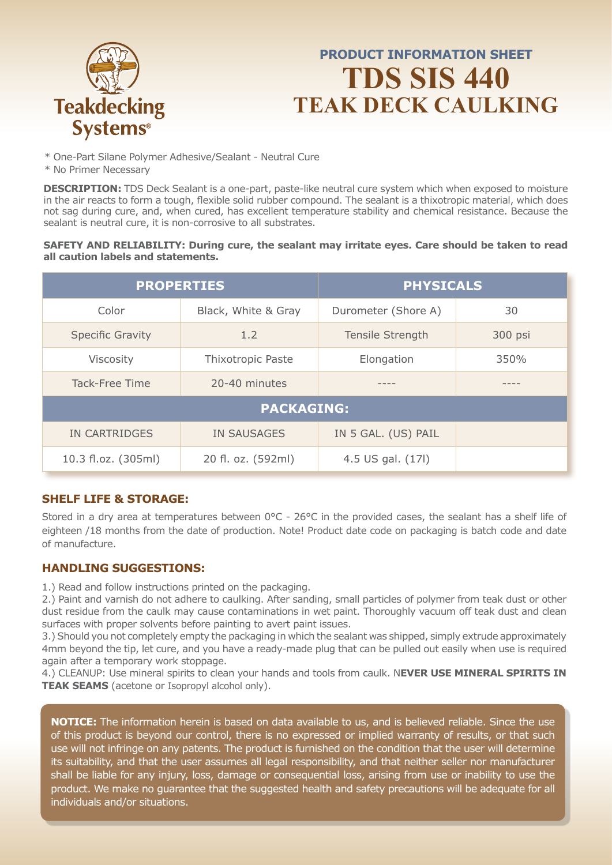

### **PRODUCT INFORMATION SHEET TDS SIS 440 TEAK DECK CAULKING**

- \* One-Part Silane Polymer Adhesive/Sealant Neutral Cure
- \* No Primer Necessary

**DESCRIPTION:** TDS Deck Sealant is a one-part, paste-like neutral cure system which when exposed to moisture in the air reacts to form a tough, flexible solid rubber compound. The sealant is a thixotropic material, which does not sag during cure, and, when cured, has excellent temperature stability and chemical resistance. Because the sealant is neutral cure, it is non-corrosive to all substrates.

#### **SAFETY AND RELIABILITY: During cure, the sealant may irritate eyes. Care should be taken to read all caution labels and statements.**

| <b>PROPERTIES</b>       |                     | <b>PHYSICALS</b>            |      |  |
|-------------------------|---------------------|-----------------------------|------|--|
| Color                   | Black, White & Gray | Durometer (Shore A)         | 30   |  |
| <b>Specific Gravity</b> | 1.2                 | Tensile Strength<br>300 psi |      |  |
| <b>Viscosity</b>        | Thixotropic Paste   | Elongation                  | 350% |  |
| Tack-Free Time          | 20-40 minutes       |                             |      |  |
| <b>PACKAGING:</b>       |                     |                             |      |  |
| IN CARTRIDGES           | <b>IN SAUSAGES</b>  | IN 5 GAL. (US) PAIL         |      |  |
| 10.3 fl.oz. (305ml)     | 20 fl. oz. (592ml)  | 4.5 US gal. (17l)           |      |  |

### **SHELF LIFE & STORAGE:**

Stored in a dry area at temperatures between 0°C - 26°C in the provided cases, the sealant has a shelf life of eighteen /18 months from the date of production. Note! Product date code on packaging is batch code and date of manufacture.

#### **HANDLING SUGGESTIONS:**

1.) Read and follow instructions printed on the packaging.

2.) Paint and varnish do not adhere to caulking. After sanding, small particles of polymer from teak dust or other dust residue from the caulk may cause contaminations in wet paint. Thoroughly vacuum off teak dust and clean surfaces with proper solvents before painting to avert paint issues.

3.) Should you not completely empty the packaging in which the sealant was shipped, simply extrude approximately 4mm beyond the tip, let cure, and you have a ready-made plug that can be pulled out easily when use is required again after a temporary work stoppage.

4.) CLEANUP: Use mineral spirits to clean your hands and tools from caulk. N**EVER USE MINERAL SPIRITS IN TEAK SEAMS** (acetone or Isopropyl alcohol only).

**NOTICE:** The information herein is based on data available to us, and is believed reliable. Since the use of this product is beyond our control, there is no expressed or implied warranty of results, or that such use will not infringe on any patents. The product is furnished on the condition that the user will determine its suitability, and that the user assumes all legal responsibility, and that neither seller nor manufacturer shall be liable for any injury, loss, damage or consequential loss, arising from use or inability to use the product. We make no guarantee that the suggested health and safety precautions will be adequate for all individuals and/or situations.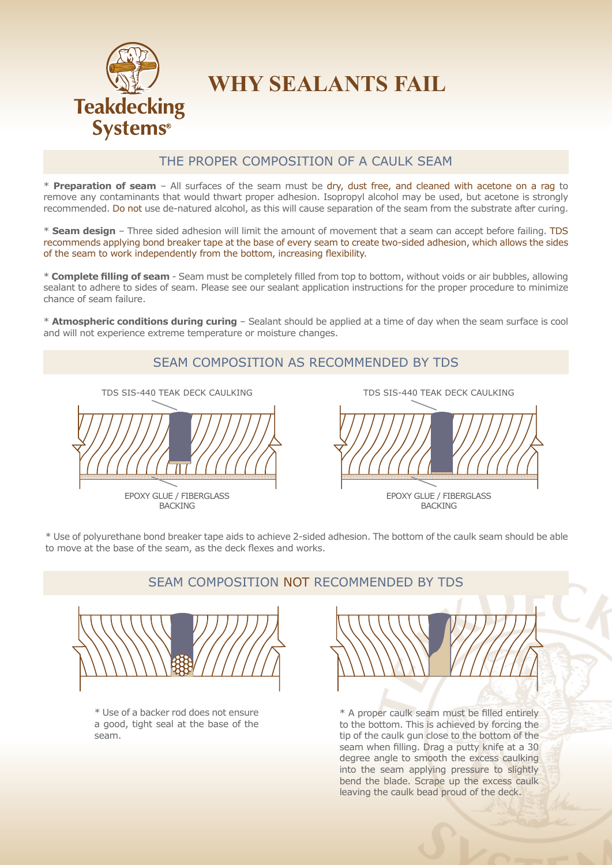

## **WHY SEALANTS FAIL**

### THE PROPER COMPOSITION OF A CAULK SEAM

\* **Preparation of seam** – All surfaces of the seam must be dry, dust free, and cleaned with acetone on a rag to remove any contaminants that would thwart proper adhesion. Isopropyl alcohol may be used, but acetone is strongly recommended. Do not use de-natured alcohol, as this will cause separation of the seam from the substrate after curing.

\* **Seam design** – Three sided adhesion will limit the amount of movement that a seam can accept before failing. TDS recommends applying bond breaker tape at the base of every seam to create two-sided adhesion, which allows the sides of the seam to work independently from the bottom, increasing flexibility.

\* **Complete filling of seam** - Seam must be completely filled from top to bottom, without voids or air bubbles, allowing sealant to adhere to sides of seam. Please see our sealant application instructions for the proper procedure to minimize chance of seam failure.

\* **Atmospheric conditions during curing** – Sealant should be applied at a time of day when the seam surface is cool and will not experience extreme temperature or moisture changes.



\* Use of polyurethane bond breaker tape aids to achieve 2-sided adhesion. The bottom of the caulk seam should be able to move at the base of the seam, as the deck flexes and works.

#### SEAM COMPOSITION NOT RECOMMENDED BY TDS



\* Use of a backer rod does not ensure a good, tight seal at the base of the seam.

\* A proper caulk seam must be filled entirely to the bottom. This is achieved by forcing the tip of the caulk gun close to the bottom of the seam when filling. Drag a putty knife at a 30 degree angle to smooth the excess caulking into the seam applying pressure to slightly bend the blade. Scrape up the excess caulk leaving the caulk bead proud of the deck.